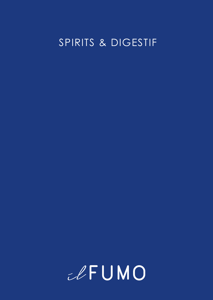# SPIRITS & DIGESTIF

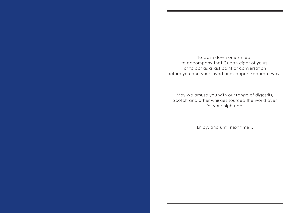To wash down one's meal, to accompany that Cuban cigar of yours, or to act as a last point of conversation before you and your loved ones depart separate ways,

May we amuse you with our range of digestifs, Scotch and other whiskies sourced the world over for your nightcap.

Enjoy, and until next time...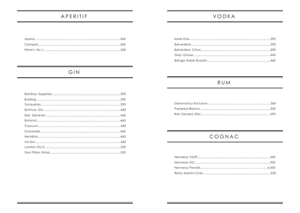### APERITIF

# VODKA

# GIN

### RUM

# COGNAC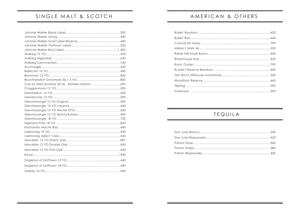# SINGLE MALT & SCOTCH

| Cao ila 2002 (bottled 2014) - Distillers Edition590 |  |
|-----------------------------------------------------|--|
|                                                     |  |
|                                                     |  |
|                                                     |  |
|                                                     |  |
|                                                     |  |
|                                                     |  |
|                                                     |  |
|                                                     |  |
|                                                     |  |
|                                                     |  |
|                                                     |  |
|                                                     |  |
|                                                     |  |
|                                                     |  |
|                                                     |  |
|                                                     |  |
|                                                     |  |
|                                                     |  |
|                                                     |  |
|                                                     |  |

# AMERICAN & OTHERS

### TEQUILA